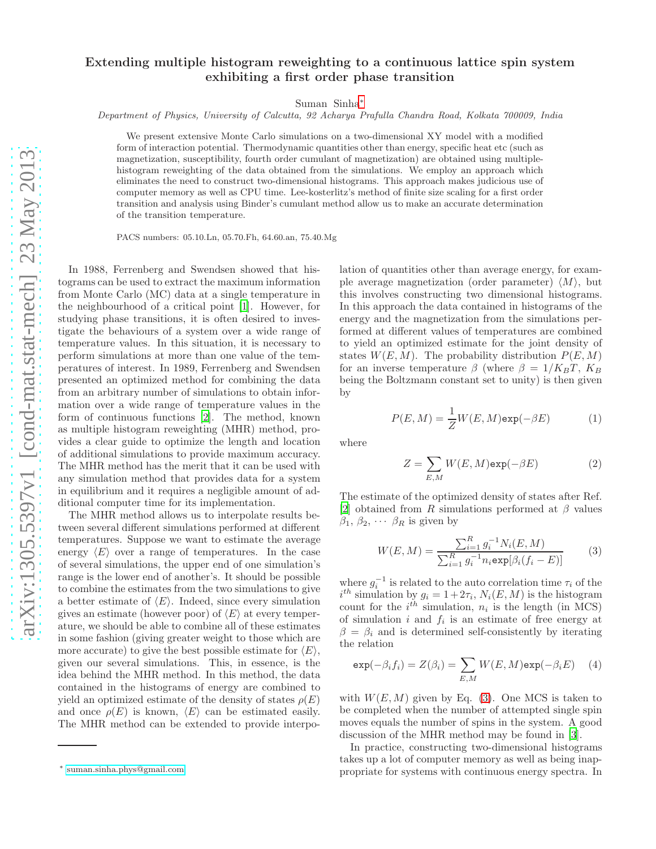## Extending multiple histogram reweighting to a continuous lattice spin system exhibiting a first order phase transition

Suman Sinha[∗](#page-0-0)

Department of Physics, University of Calcutta, 92 Acharya Prafulla Chandra Road, Kolkata 700009, India

We present extensive Monte Carlo simulations on a two-dimensional XY model with a modified form of interaction potential. Thermodynamic quantities other than energy, specific heat etc (such as magnetization, susceptibility, fourth order cumulant of magnetization) are obtained using multiplehistogram reweighting of the data obtained from the simulations. We employ an approach which eliminates the need to construct two-dimensional histograms. This approach makes judicious use of computer memory as well as CPU time. Lee-kosterlitz's method of finite size scaling for a first order transition and analysis using Binder's cumulant method allow us to make an accurate determination of the transition temperature.

PACS numbers: 05.10.Ln, 05.70.Fh, 64.60.an, 75.40.Mg

In 1988, Ferrenberg and Swendsen showed that histograms can be used to extract the maximum information from Monte Carlo (MC) data at a single temperature in the neighbourhood of a critical point [\[1\]](#page-3-0). However, for studying phase transitions, it is often desired to investigate the behaviours of a system over a wide range of temperature values. In this situation, it is necessary to perform simulations at more than one value of the temperatures of interest. In 1989, Ferrenberg and Swendsen presented an optimized method for combining the data from an arbitrary number of simulations to obtain information over a wide range of temperature values in the form of continuous functions [\[2\]](#page-3-1). The method, known as multiple histogram reweighting (MHR) method, provides a clear guide to optimize the length and location of additional simulations to provide maximum accuracy. The MHR method has the merit that it can be used with any simulation method that provides data for a system in equilibrium and it requires a negligible amount of additional computer time for its implementation.

The MHR method allows us to interpolate results between several different simulations performed at different temperatures. Suppose we want to estimate the average energy  $\langle E \rangle$  over a range of temperatures. In the case of several simulations, the upper end of one simulation's range is the lower end of another's. It should be possible to combine the estimates from the two simulations to give a better estimate of  $\langle E \rangle$ . Indeed, since every simulation gives an estimate (however poor) of  $\langle E \rangle$  at every temperature, we should be able to combine all of these estimates in some fashion (giving greater weight to those which are more accurate) to give the best possible estimate for  $\langle E \rangle$ , given our several simulations. This, in essence, is the idea behind the MHR method. In this method, the data contained in the histograms of energy are combined to yield an optimized estimate of the density of states  $\rho(E)$ and once  $\rho(E)$  is known,  $\langle E \rangle$  can be estimated easily. The MHR method can be extended to provide interpolation of quantities other than average energy, for example average magnetization (order parameter)  $\langle M \rangle$ , but this involves constructing two dimensional histograms. In this approach the data contained in histograms of the energy and the magnetization from the simulations performed at different values of temperatures are combined to yield an optimized estimate for the joint density of states  $W(E, M)$ . The probability distribution  $P(E, M)$ for an inverse temperature  $\beta$  (where  $\beta = 1/K_B T$ ,  $K_B$ being the Boltzmann constant set to unity) is then given by

$$
P(E, M) = \frac{1}{Z}W(E, M)\exp(-\beta E)
$$
 (1)

where

$$
Z = \sum_{E,M} W(E,M) \exp(-\beta E) \tag{2}
$$

The estimate of the optimized density of states after Ref. [\[2\]](#page-3-1) obtained from R simulations performed at  $\beta$  values  $\beta_1, \beta_2, \cdots \beta_R$  is given by

<span id="page-0-1"></span>
$$
W(E, M) = \frac{\sum_{i=1}^{R} g_i^{-1} N_i(E, M)}{\sum_{i=1}^{R} g_i^{-1} n_i \exp[\beta_i(f_i - E)]}
$$
(3)

where  $g_i^{-1}$  $i^{-1}$  is related to the auto correlation time  $\tau_i$  of the  $i^{th}$  simulation by  $g_i = 1 + 2\tau_i$ ,  $N_i(E, M)$  is the histogram count for the  $i^{th}$  simulation,  $n_i$  is the length (in MCS) of simulation  $i$  and  $f_i$  is an estimate of free energy at  $\beta = \beta_i$  and is determined self-consistently by iterating the relation

$$
\exp(-\beta_i f_i) = Z(\beta_i) = \sum_{E,M} W(E,M) \exp(-\beta_i E) \quad (4)
$$

with  $W(E, M)$  given by Eq. [\(3\)](#page-0-1). One MCS is taken to be completed when the number of attempted single spin moves equals the number of spins in the system. A good discussion of the MHR method may be found in [\[3](#page-3-2)].

In practice, constructing two-dimensional histograms takes up a lot of computer memory as well as being inappropriate for systems with continuous energy spectra. In

<span id="page-0-0"></span><sup>∗</sup> [suman.sinha.phys@gmail.com](mailto:suman.sinha.phys@gmail.com)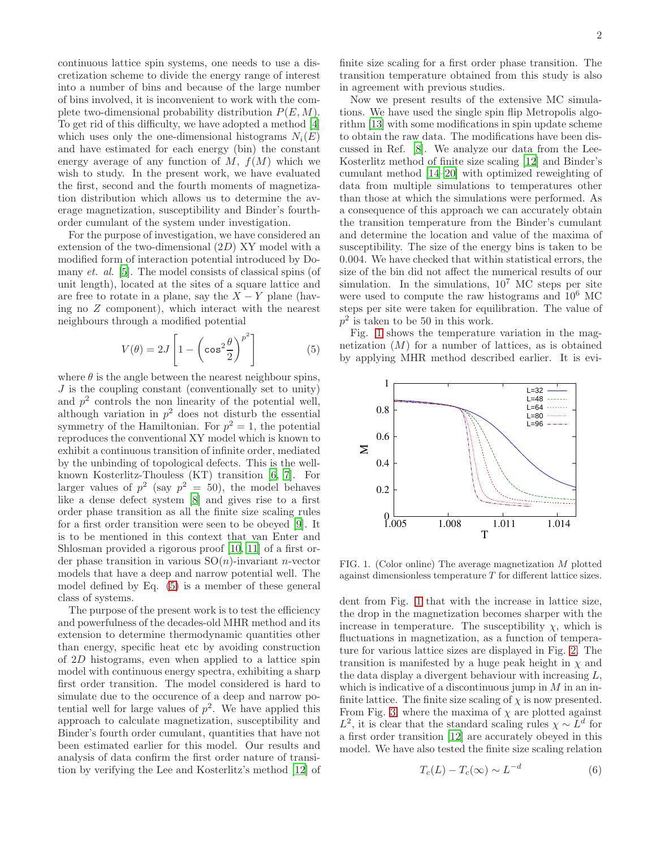continuous lattice spin systems, one needs to use a discretization scheme to divide the energy range of interest into a number of bins and because of the large number of bins involved, it is inconvenient to work with the complete two-dimensional probability distribution  $P(E, M)$ . To get rid of this difficulty, we have adopted a method [\[4](#page-3-3)] which uses only the one-dimensional histograms  $N_i(E)$ and have estimated for each energy (bin) the constant energy average of any function of  $M$ ,  $f(M)$  which we wish to study. In the present work, we have evaluated the first, second and the fourth moments of magnetization distribution which allows us to determine the average magnetization, susceptibility and Binder's fourthorder cumulant of the system under investigation.

For the purpose of investigation, we have considered an extension of the two-dimensional  $(2D)$  XY model with a modified form of interaction potential introduced by Domany *et. al.* [\[5\]](#page-3-4). The model consists of classical spins (of unit length), located at the sites of a square lattice and are free to rotate in a plane, say the  $X - Y$  plane (having no Z component), which interact with the nearest neighbours through a modified potential

<span id="page-1-0"></span>
$$
V(\theta) = 2J \left[ 1 - \left( \cos^2 \frac{\theta}{2} \right)^{p^2} \right]
$$
 (5)

where  $\theta$  is the angle between the nearest neighbour spins,  $J$  is the coupling constant (conventionally set to unity) and  $p<sup>2</sup>$  controls the non linearity of the potential well, although variation in  $p^2$  does not disturb the essential symmetry of the Hamiltonian. For  $p^2 = 1$ , the potential reproduces the conventional XY model which is known to exhibit a continuous transition of infinite order, mediated by the unbinding of topological defects. This is the wellknown Kosterlitz-Thouless (KT) transition [\[6,](#page-3-5) [7](#page-3-6)]. For larger values of  $p^2$  (say  $p^2 = 50$ ), the model behaves like a dense defect system [\[8\]](#page-3-7) and gives rise to a first order phase transition as all the finite size scaling rules for a first order transition were seen to be obeyed [\[9\]](#page-3-8). It is to be mentioned in this context that van Enter and Shlosman provided a rigorous proof [\[10,](#page-3-9) [11\]](#page-3-10) of a first order phase transition in various  $SO(n)$ -invariant *n*-vector models that have a deep and narrow potential well. The model defined by Eq. [\(5\)](#page-1-0) is a member of these general class of systems.

The purpose of the present work is to test the efficiency and powerfulness of the decades-old MHR method and its extension to determine thermodynamic quantities other than energy, specific heat etc by avoiding construction of 2D histograms, even when applied to a lattice spin model with continuous energy spectra, exhibiting a sharp first order transition. The model considered is hard to simulate due to the occurence of a deep and narrow potential well for large values of  $p^2$ . We have applied this approach to calculate magnetization, susceptibility and Binder's fourth order cumulant, quantities that have not been estimated earlier for this model. Our results and analysis of data confirm the first order nature of transition by verifying the Lee and Kosterlitz's method [\[12](#page-3-11)] of

finite size scaling for a first order phase transition. The transition temperature obtained from this study is also in agreement with previous studies.

Now we present results of the extensive MC simulations. We have used the single spin flip Metropolis algorithm [\[13\]](#page-3-12) with some modifications in spin update scheme to obtain the raw data. The modifications have been discussed in Ref. [\[8](#page-3-7)]. We analyze our data from the Lee-Kosterlitz method of finite size scaling [\[12\]](#page-3-11) and Binder's cumulant method [\[14](#page-3-13)[–20](#page-3-14)] with optimized reweighting of data from multiple simulations to temperatures other than those at which the simulations were performed. As a consequence of this approach we can accurately obtain the transition temperature from the Binder's cumulant and determine the location and value of the maxima of susceptibility. The size of the energy bins is taken to be 0.004. We have checked that within statistical errors, the size of the bin did not affect the numerical results of our simulation. In the simulations,  $10^7$  MC steps per site were used to compute the raw histograms and  $10^6$  MC steps per site were taken for equilibration. The value of  $p^2$  is taken to be 50 in this work.

Fig. [1](#page-1-1) shows the temperature variation in the magnetization  $(M)$  for a number of lattices, as is obtained by applying MHR method described earlier. It is evi-



<span id="page-1-1"></span>FIG. 1. (Color online) The average magnetization M plotted against dimensionless temperature T for different lattice sizes.

dent from Fig. [1](#page-1-1) that with the increase in lattice size, the drop in the magnetization becomes sharper with the increase in temperature. The susceptibility  $\chi$ , which is fluctuations in magnetization, as a function of temperature for various lattice sizes are displayed in Fig. [2.](#page-2-0) The transition is manifested by a huge peak height in  $\chi$  and the data display a divergent behaviour with increasing L, which is indicative of a discontinuous jump in  $M$  in an infinite lattice. The finite size scaling of  $\chi$  is now presented. From Fig. [3,](#page-2-1) where the maxima of  $\chi$  are plotted against  $L^2$ , it is clear that the standard scaling rules  $\chi \sim L^d$  for a first order transition [\[12](#page-3-11)] are accurately obeyed in this model. We have also tested the finite size scaling relation

$$
T_c(L) - T_c(\infty) \sim L^{-d} \tag{6}
$$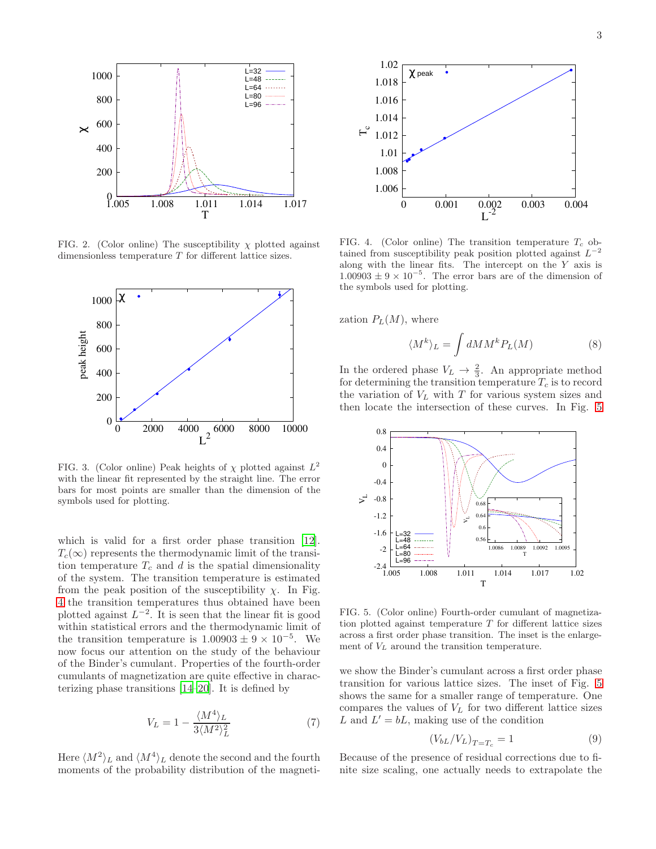

<span id="page-2-0"></span>FIG. 2. (Color online) The susceptibility  $\chi$  plotted against dimensionless temperature T for different lattice sizes.



<span id="page-2-1"></span>FIG. 3. (Color online) Peak heights of  $\chi$  plotted against  $L^2$ with the linear fit represented by the straight line. The error bars for most points are smaller than the dimension of the symbols used for plotting.

which is valid for a first order phase transition [\[12\]](#page-3-11).  $T_c(\infty)$  represents the thermodynamic limit of the transition temperature  $T_c$  and d is the spatial dimensionality of the system. The transition temperature is estimated from the peak position of the susceptibility  $\chi$ . In Fig. [4](#page-2-2) the transition temperatures thus obtained have been plotted against  $L^{-2}$ . It is seen that the linear fit is good within statistical errors and the thermodynamic limit of the transition temperature is  $1.00903 \pm 9 \times 10^{-5}$ . We now focus our attention on the study of the behaviour of the Binder's cumulant. Properties of the fourth-order cumulants of magnetization are quite effective in characterizing phase transitions [\[14](#page-3-13)[–20\]](#page-3-14). It is defined by

$$
V_L = 1 - \frac{\langle M^4 \rangle_L}{3 \langle M^2 \rangle_L^2} \tag{7}
$$

Here  $\langle M^2 \rangle_L$  and  $\langle M^4 \rangle_L$  denote the second and the fourth moments of the probability distribution of the magneti-



<span id="page-2-2"></span>FIG. 4. (Color online) The transition temperature  $T_c$  obtained from susceptibility peak position plotted against  $L^{-2}$ along with the linear fits. The intercept on the  $Y$  axis is  $1.00903 \pm 9 \times 10^{-5}$ . The error bars are of the dimension of the symbols used for plotting.

zation  $P<sub>L</sub>(M)$ , where

$$
\langle M^k \rangle_L = \int dM M^k P_L(M) \tag{8}
$$

In the ordered phase  $V_L \rightarrow \frac{2}{3}$ . An appropriate method for determining the transition temperature  $T_c$  is to record the variation of  $V_L$  with  $T$  for various system sizes and then locate the intersection of these curves. In Fig. [5](#page-2-3)



<span id="page-2-3"></span>FIG. 5. (Color online) Fourth-order cumulant of magnetization plotted against temperature  $T$  for different lattice sizes across a first order phase transition. The inset is the enlargement of  $V<sub>L</sub>$  around the transition temperature.

we show the Binder's cumulant across a first order phase transition for various lattice sizes. The inset of Fig. [5](#page-2-3) shows the same for a smaller range of temperature. One compares the values of  $V_L$  for two different lattice sizes L and  $L' = bL$ , making use of the condition

$$
(V_{bL}/V_L)_{T=T_c} = 1\tag{9}
$$

Because of the presence of residual corrections due to finite size scaling, one actually needs to extrapolate the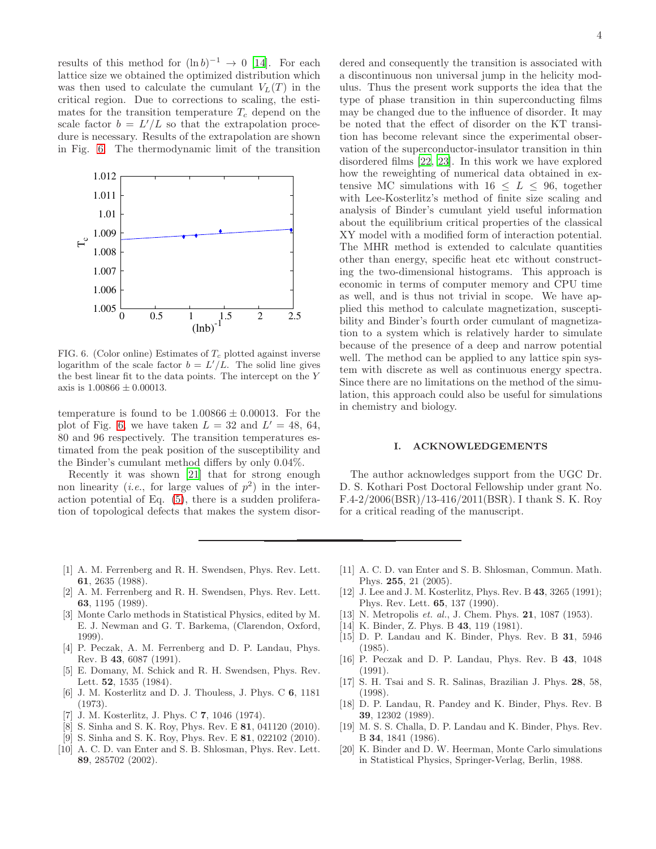results of this method for  $(\ln b)^{-1} \to 0$  [\[14\]](#page-3-13). For each lattice size we obtained the optimized distribution which was then used to calculate the cumulant  $V<sub>L</sub>(T)$  in the critical region. Due to corrections to scaling, the estimates for the transition temperature  $T_c$  depend on the scale factor  $b = L'/L$  so that the extrapolation procedure is necessary. Results of the extrapolation are shown in Fig. [6.](#page-3-15) The thermodynamic limit of the transition



<span id="page-3-15"></span>FIG. 6. (Color online) Estimates of  $T_c$  plotted against inverse logarithm of the scale factor  $b = L'/L$ . The solid line gives the best linear fit to the data points. The intercept on the Y axis is  $1.00866 \pm 0.00013$ .

temperature is found to be  $1.00866 \pm 0.00013$ . For the plot of Fig. [6,](#page-3-15) we have taken  $L = 32$  and  $L' = 48, 64,$ 80 and 96 respectively. The transition temperatures estimated from the peak position of the susceptibility and the Binder's cumulant method differs by only 0.04%.

Recently it was shown [\[21\]](#page-4-0) that for strong enough non linearity (*i.e.*, for large values of  $p^2$ ) in the interaction potential of Eq. [\(5\)](#page-1-0), there is a sudden proliferation of topological defects that makes the system disordered and consequently the transition is associated with a discontinuous non universal jump in the helicity modulus. Thus the present work supports the idea that the type of phase transition in thin superconducting films may be changed due to the influence of disorder. It may be noted that the effect of disorder on the KT transition has become relevant since the experimental observation of the superconductor-insulator transition in thin disordered films [\[22,](#page-4-1) [23\]](#page-4-2). In this work we have explored how the reweighting of numerical data obtained in extensive MC simulations with  $16 \leq L \leq 96$ , together with Lee-Kosterlitz's method of finite size scaling and analysis of Binder's cumulant yield useful information about the equilibrium critical properties of the classical XY model with a modified form of interaction potential. The MHR method is extended to calculate quantities other than energy, specific heat etc without constructing the two-dimensional histograms. This approach is economic in terms of computer memory and CPU time as well, and is thus not trivial in scope. We have applied this method to calculate magnetization, susceptibility and Binder's fourth order cumulant of magnetization to a system which is relatively harder to simulate because of the presence of a deep and narrow potential well. The method can be applied to any lattice spin system with discrete as well as continuous energy spectra. Since there are no limitations on the method of the simulation, this approach could also be useful for simulations in chemistry and biology.

## I. ACKNOWLEDGEMENTS

The author acknowledges support from the UGC Dr. D. S. Kothari Post Doctoral Fellowship under grant No. F.4-2/2006(BSR)/13-416/2011(BSR). I thank S. K. Roy for a critical reading of the manuscript.

- <span id="page-3-0"></span>[1] A. M. Ferrenberg and R. H. Swendsen, Phys. Rev. Lett. 61, 2635 (1988).
- <span id="page-3-1"></span>[2] A. M. Ferrenberg and R. H. Swendsen, Phys. Rev. Lett. 63, 1195 (1989).
- <span id="page-3-2"></span>[3] Monte Carlo methods in Statistical Physics, edited by M. E. J. Newman and G. T. Barkema, (Clarendon, Oxford, 1999).
- <span id="page-3-3"></span>[4] P. Peczak, A. M. Ferrenberg and D. P. Landau, Phys. Rev. B 43, 6087 (1991).
- <span id="page-3-4"></span>[5] E. Domany, M. Schick and R. H. Swendsen, Phys. Rev. Lett. 52, 1535 (1984).
- <span id="page-3-5"></span>[6] J. M. Kosterlitz and D. J. Thouless, J. Phys. C 6, 1181 (1973).
- <span id="page-3-6"></span>[7] J. M. Kosterlitz, J. Phys. C 7, 1046 (1974).
- <span id="page-3-7"></span>[8] S. Sinha and S. K. Roy, Phys. Rev. E **81**, 041120 (2010).
- <span id="page-3-8"></span>[9] S. Sinha and S. K. Roy, Phys. Rev. E 81, 022102 (2010).
- <span id="page-3-9"></span>[10] A. C. D. van Enter and S. B. Shlosman, Phys. Rev. Lett. 89, 285702 (2002).
- <span id="page-3-10"></span>[11] A. C. D. van Enter and S. B. Shlosman, Commun. Math. Phys. 255, 21 (2005).
- <span id="page-3-11"></span>[12] J. Lee and J. M. Kosterlitz, Phys. Rev. B 43, 3265 (1991); Phys. Rev. Lett. 65, 137 (1990).
- <span id="page-3-12"></span>[13] N. Metropolis *et. al.*, J. Chem. Phys. **21**, 1087 (1953).
- <span id="page-3-13"></span>[14] K. Binder, Z. Phys. B **43**, 119 (1981).
- [15] D. P. Landau and K. Binder, Phys. Rev. B 31, 5946 (1985).
- [16] P. Peczak and D. P. Landau, Phys. Rev. B 43, 1048 (1991).
- [17] S. H. Tsai and S. R. Salinas, Brazilian J. Phys. 28, 58, (1998).
- [18] D. P. Landau, R. Pandey and K. Binder, Phys. Rev. B 39, 12302 (1989).
- [19] M. S. S. Challa, D. P. Landau and K. Binder, Phys. Rev. B 34, 1841 (1986).
- <span id="page-3-14"></span>[20] K. Binder and D. W. Heerman, Monte Carlo simulations in Statistical Physics, Springer-Verlag, Berlin, 1988.